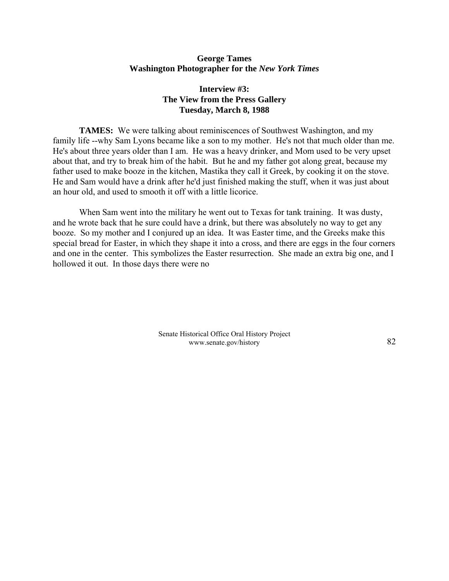## **George Tames Washington Photographer for the** *New York Times*

## **Interview #3: The View from the Press Gallery Tuesday, March 8, 1988**

**TAMES:** We were talking about reminiscences of Southwest Washington, and my family life --why Sam Lyons became like a son to my mother. He's not that much older than me. He's about three years older than I am. He was a heavy drinker, and Mom used to be very upset about that, and try to break him of the habit. But he and my father got along great, because my father used to make booze in the kitchen, Mastika they call it Greek, by cooking it on the stove. He and Sam would have a drink after he'd just finished making the stuff, when it was just about an hour old, and used to smooth it off with a little licorice.

When Sam went into the military he went out to Texas for tank training. It was dusty, and he wrote back that he sure could have a drink, but there was absolutely no way to get any booze. So my mother and I conjured up an idea. It was Easter time, and the Greeks make this special bread for Easter, in which they shape it into a cross, and there are eggs in the four corners and one in the center. This symbolizes the Easter resurrection. She made an extra big one, and I hollowed it out. In those days there were no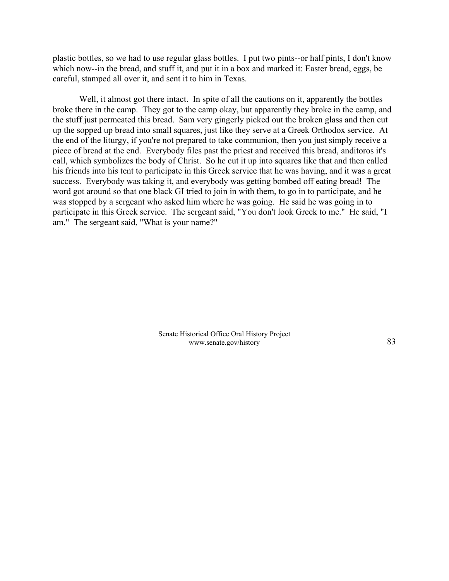plastic bottles, so we had to use regular glass bottles. I put two pints--or half pints, I don't know which now--in the bread, and stuff it, and put it in a box and marked it: Easter bread, eggs, be careful, stamped all over it, and sent it to him in Texas.

Well, it almost got there intact. In spite of all the cautions on it, apparently the bottles broke there in the camp. They got to the camp okay, but apparently they broke in the camp, and the stuff just permeated this bread. Sam very gingerly picked out the broken glass and then cut up the sopped up bread into small squares, just like they serve at a Greek Orthodox service. At the end of the liturgy, if you're not prepared to take communion, then you just simply receive a piece of bread at the end. Everybody files past the priest and received this bread, anditoros it's call, which symbolizes the body of Christ. So he cut it up into squares like that and then called his friends into his tent to participate in this Greek service that he was having, and it was a great success. Everybody was taking it, and everybody was getting bombed off eating bread! The word got around so that one black GI tried to join in with them, to go in to participate, and he was stopped by a sergeant who asked him where he was going. He said he was going in to participate in this Greek service. The sergeant said, "You don't look Greek to me." He said, "I am." The sergeant said, "What is your name?"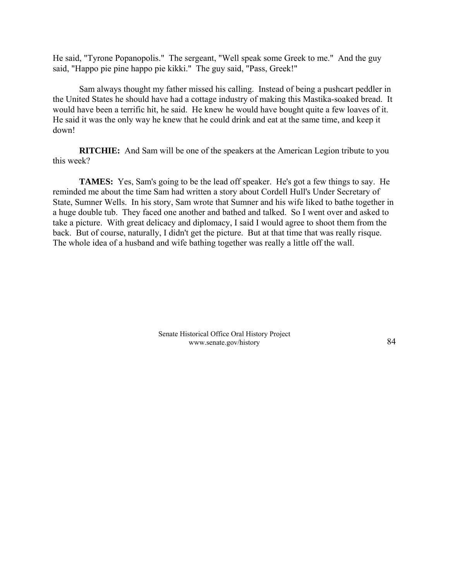He said, "Tyrone Popanopolis." The sergeant, "Well speak some Greek to me." And the guy said, "Happo pie pine happo pie kikki." The guy said, "Pass, Greek!"

Sam always thought my father missed his calling. Instead of being a pushcart peddler in the United States he should have had a cottage industry of making this Mastika-soaked bread. It would have been a terrific hit, he said. He knew he would have bought quite a few loaves of it. He said it was the only way he knew that he could drink and eat at the same time, and keep it down!

**RITCHIE:** And Sam will be one of the speakers at the American Legion tribute to you this week?

**TAMES:** Yes, Sam's going to be the lead off speaker. He's got a few things to say. He reminded me about the time Sam had written a story about Cordell Hull's Under Secretary of State, Sumner Wells. In his story, Sam wrote that Sumner and his wife liked to bathe together in a huge double tub. They faced one another and bathed and talked. So I went over and asked to take a picture. With great delicacy and diplomacy, I said I would agree to shoot them from the back. But of course, naturally, I didn't get the picture. But at that time that was really risque. The whole idea of a husband and wife bathing together was really a little off the wall.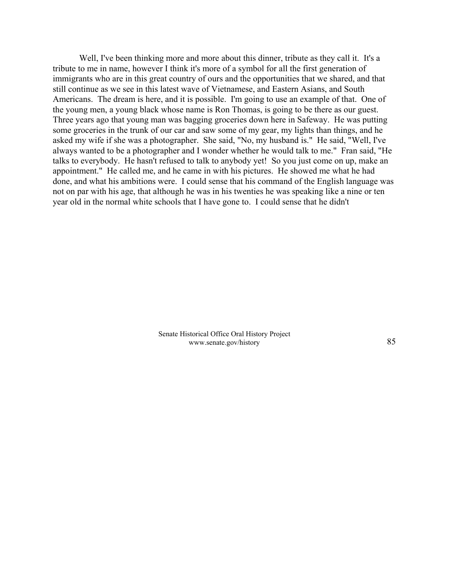Well, I've been thinking more and more about this dinner, tribute as they call it. It's a tribute to me in name, however I think it's more of a symbol for all the first generation of immigrants who are in this great country of ours and the opportunities that we shared, and that still continue as we see in this latest wave of Vietnamese, and Eastern Asians, and South Americans. The dream is here, and it is possible. I'm going to use an example of that. One of the young men, a young black whose name is Ron Thomas, is going to be there as our guest. Three years ago that young man was bagging groceries down here in Safeway. He was putting some groceries in the trunk of our car and saw some of my gear, my lights than things, and he asked my wife if she was a photographer. She said, "No, my husband is." He said, "Well, I've always wanted to be a photographer and I wonder whether he would talk to me." Fran said, "He talks to everybody. He hasn't refused to talk to anybody yet! So you just come on up, make an appointment." He called me, and he came in with his pictures. He showed me what he had done, and what his ambitions were. I could sense that his command of the English language was not on par with his age, that although he was in his twenties he was speaking like a nine or ten year old in the normal white schools that I have gone to. I could sense that he didn't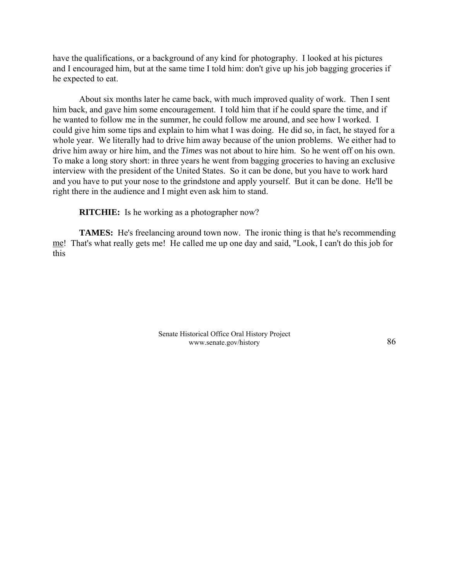have the qualifications, or a background of any kind for photography. I looked at his pictures and I encouraged him, but at the same time I told him: don't give up his job bagging groceries if he expected to eat.

About six months later he came back, with much improved quality of work. Then I sent him back, and gave him some encouragement. I told him that if he could spare the time, and if he wanted to follow me in the summer, he could follow me around, and see how I worked. I could give him some tips and explain to him what I was doing. He did so, in fact, he stayed for a whole year. We literally had to drive him away because of the union problems. We either had to drive him away or hire him, and the *Times* was not about to hire him. So he went off on his own. To make a long story short: in three years he went from bagging groceries to having an exclusive interview with the president of the United States. So it can be done, but you have to work hard and you have to put your nose to the grindstone and apply yourself. But it can be done. He'll be right there in the audience and I might even ask him to stand.

**RITCHIE:** Is he working as a photographer now?

**TAMES:** He's freelancing around town now. The ironic thing is that he's recommending me! That's what really gets me! He called me up one day and said, "Look, I can't do this job for this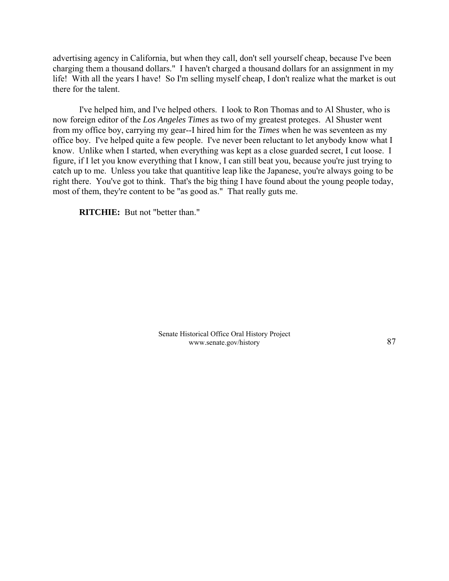advertising agency in California, but when they call, don't sell yourself cheap, because I've been charging them a thousand dollars." I haven't charged a thousand dollars for an assignment in my life! With all the years I have! So I'm selling myself cheap, I don't realize what the market is out there for the talent.

I've helped him, and I've helped others. I look to Ron Thomas and to Al Shuster, who is now foreign editor of the *Los Angeles Times* as two of my greatest proteges. Al Shuster went from my office boy, carrying my gear--I hired him for the *Times* when he was seventeen as my office boy. I've helped quite a few people. I've never been reluctant to let anybody know what I know. Unlike when I started, when everything was kept as a close guarded secret, I cut loose. I figure, if I let you know everything that I know, I can still beat you, because you're just trying to catch up to me. Unless you take that quantitive leap like the Japanese, you're always going to be right there. You've got to think. That's the big thing I have found about the young people today, most of them, they're content to be "as good as." That really guts me.

**RITCHIE:** But not "better than."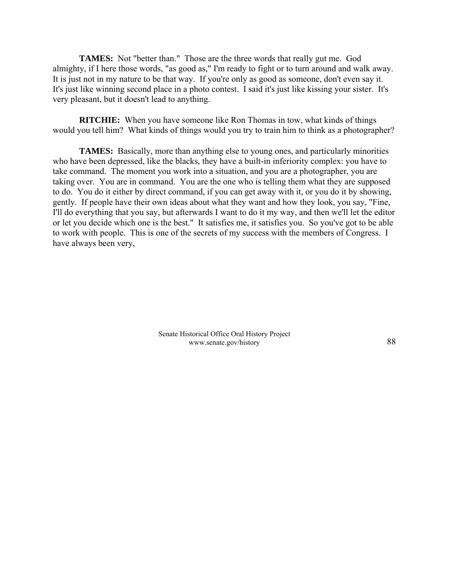**TAMES:** Not "better than." Those are the three words that really gut me. God almighty, if I here those words, "as good as," I'm ready to fight or to turn around and walk away. It is just not in my nature to be that way. If you're only as good as someone, don't even say it. It's just like winning second place in a photo contest. I said it's just like kissing your sister. It's very pleasant, but it doesn't lead to anything.

**RITCHIE:** When you have someone like Ron Thomas in tow, what kinds of things would you tell him? What kinds of things would you try to train him to think as a photographer?

**TAMES:** Basically, more than anything else to young ones, and particularly minorities who have been depressed, like the blacks, they have a built-in inferiority complex: you have to take command. The moment you work into a situation, and you are a photographer, you are taking over. You are in command. You are the one who is telling them what they are supposed to do. You do it either by direct command, if you can get away with it, or you do it by showing, gently. If people have their own ideas about what they want and how they look, you say, "Fine, I'll do everything that you say, but afterwards I want to do it my way, and then we'll let the editor or let you decide which one is the best." It satisfies me, it satisfies you. So you've got to be able to work with people. This is one of the secrets of my success with the members of Congress. I have always been very,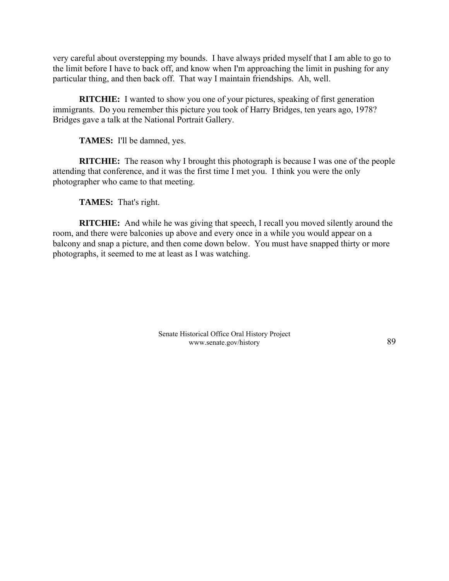very careful about overstepping my bounds. I have always prided myself that I am able to go to the limit before I have to back off, and know when I'm approaching the limit in pushing for any particular thing, and then back off. That way I maintain friendships. Ah, well.

**RITCHIE:** I wanted to show you one of your pictures, speaking of first generation immigrants. Do you remember this picture you took of Harry Bridges, ten years ago, 1978? Bridges gave a talk at the National Portrait Gallery.

**TAMES:** I'll be damned, yes.

**RITCHIE:** The reason why I brought this photograph is because I was one of the people attending that conference, and it was the first time I met you. I think you were the only photographer who came to that meeting.

**TAMES:** That's right.

**RITCHIE:** And while he was giving that speech, I recall you moved silently around the room, and there were balconies up above and every once in a while you would appear on a balcony and snap a picture, and then come down below. You must have snapped thirty or more photographs, it seemed to me at least as I was watching.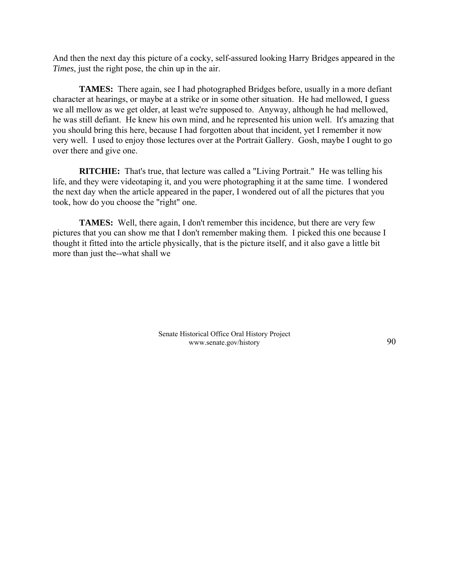And then the next day this picture of a cocky, self-assured looking Harry Bridges appeared in the *Times*, just the right pose, the chin up in the air.

**TAMES:** There again, see I had photographed Bridges before, usually in a more defiant character at hearings, or maybe at a strike or in some other situation. He had mellowed, I guess we all mellow as we get older, at least we're supposed to. Anyway, although he had mellowed, he was still defiant. He knew his own mind, and he represented his union well. It's amazing that you should bring this here, because I had forgotten about that incident, yet I remember it now very well. I used to enjoy those lectures over at the Portrait Gallery. Gosh, maybe I ought to go over there and give one.

**RITCHIE:** That's true, that lecture was called a "Living Portrait." He was telling his life, and they were videotaping it, and you were photographing it at the same time. I wondered the next day when the article appeared in the paper, I wondered out of all the pictures that you took, how do you choose the "right" one.

**TAMES:** Well, there again, I don't remember this incidence, but there are very few pictures that you can show me that I don't remember making them. I picked this one because I thought it fitted into the article physically, that is the picture itself, and it also gave a little bit more than just the--what shall we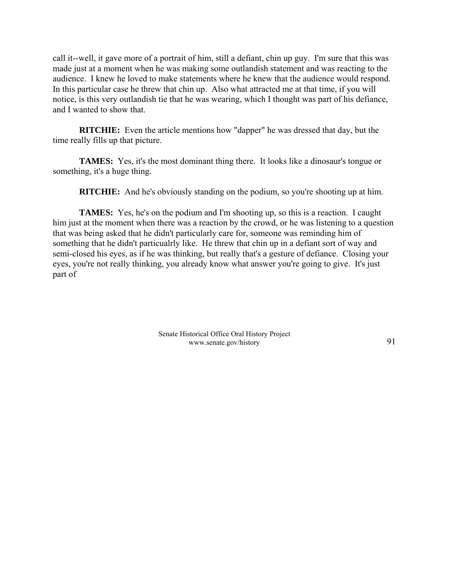call it--well, it gave more of a portrait of him, still a defiant, chin up guy. I'm sure that this was made just at a moment when he was making some outlandish statement and was reacting to the audience. I knew he loved to make statements where he knew that the audience would respond. In this particular case he threw that chin up. Also what attracted me at that time, if you will notice, is this very outlandish tie that he was wearing, which I thought was part of his defiance, and I wanted to show that.

**RITCHIE:** Even the article mentions how "dapper" he was dressed that day, but the time really fills up that picture.

**TAMES:** Yes, it's the most dominant thing there. It looks like a dinosaur's tongue or something, it's a huge thing.

**RITCHIE:** And he's obviously standing on the podium, so you're shooting up at him.

**TAMES:** Yes, he's on the podium and I'm shooting up, so this is a reaction. I caught him just at the moment when there was a reaction by the crowd, or he was listening to a question that was being asked that he didn't particularly care for, someone was reminding him of something that he didn't particualrly like. He threw that chin up in a defiant sort of way and semi-closed his eyes, as if he was thinking, but really that's a gesture of defiance. Closing your eyes, you're not really thinking, you already know what answer you're going to give. It's just part of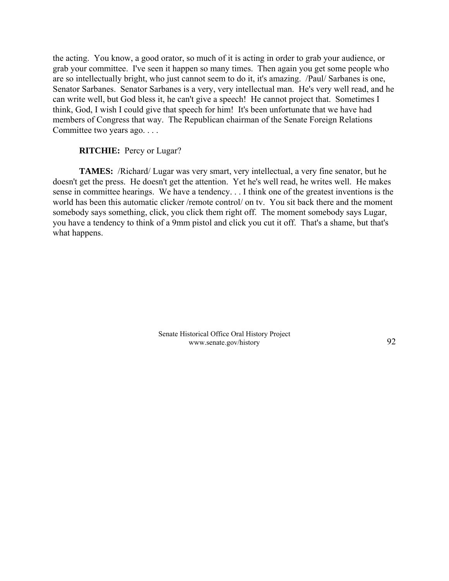the acting. You know, a good orator, so much of it is acting in order to grab your audience, or grab your committee. I've seen it happen so many times. Then again you get some people who are so intellectually bright, who just cannot seem to do it, it's amazing. /Paul/ Sarbanes is one, Senator Sarbanes. Senator Sarbanes is a very, very intellectual man. He's very well read, and he can write well, but God bless it, he can't give a speech! He cannot project that. Sometimes I think, God, I wish I could give that speech for him! It's been unfortunate that we have had members of Congress that way. The Republican chairman of the Senate Foreign Relations Committee two years ago. . . .

## **RITCHIE:** Percy or Lugar?

**TAMES:** /Richard/ Lugar was very smart, very intellectual, a very fine senator, but he doesn't get the press. He doesn't get the attention. Yet he's well read, he writes well. He makes sense in committee hearings. We have a tendency. . . I think one of the greatest inventions is the world has been this automatic clicker /remote control/ on tv. You sit back there and the moment somebody says something, click, you click them right off. The moment somebody says Lugar, you have a tendency to think of a 9mm pistol and click you cut it off. That's a shame, but that's what happens.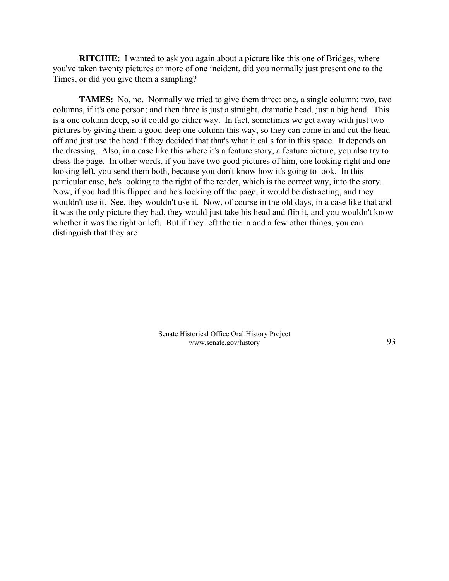**RITCHIE:** I wanted to ask you again about a picture like this one of Bridges, where you've taken twenty pictures or more of one incident, did you normally just present one to the Times, or did you give them a sampling?

**TAMES:** No, no. Normally we tried to give them three: one, a single column; two, two columns, if it's one person; and then three is just a straight, dramatic head, just a big head. This is a one column deep, so it could go either way. In fact, sometimes we get away with just two pictures by giving them a good deep one column this way, so they can come in and cut the head off and just use the head if they decided that that's what it calls for in this space. It depends on the dressing. Also, in a case like this where it's a feature story, a feature picture, you also try to dress the page. In other words, if you have two good pictures of him, one looking right and one looking left, you send them both, because you don't know how it's going to look. In this particular case, he's looking to the right of the reader, which is the correct way, into the story. Now, if you had this flipped and he's looking off the page, it would be distracting, and they wouldn't use it. See, they wouldn't use it. Now, of course in the old days, in a case like that and it was the only picture they had, they would just take his head and flip it, and you wouldn't know whether it was the right or left. But if they left the tie in and a few other things, you can distinguish that they are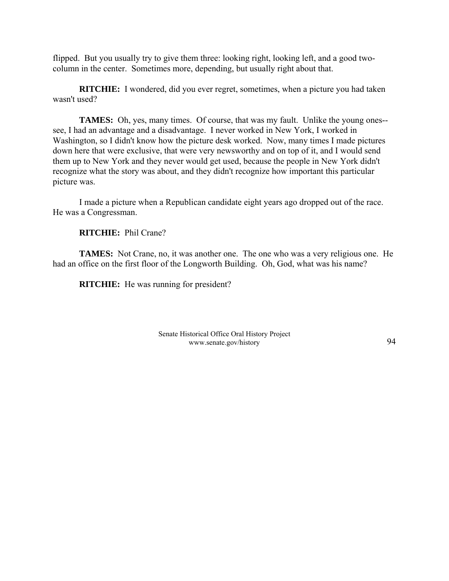flipped. But you usually try to give them three: looking right, looking left, and a good twocolumn in the center. Sometimes more, depending, but usually right about that.

**RITCHIE:** I wondered, did you ever regret, sometimes, when a picture you had taken wasn't used?

**TAMES:** Oh, yes, many times. Of course, that was my fault. Unlike the young ones- see, I had an advantage and a disadvantage. I never worked in New York, I worked in Washington, so I didn't know how the picture desk worked. Now, many times I made pictures down here that were exclusive, that were very newsworthy and on top of it, and I would send them up to New York and they never would get used, because the people in New York didn't recognize what the story was about, and they didn't recognize how important this particular picture was.

I made a picture when a Republican candidate eight years ago dropped out of the race. He was a Congressman.

**RITCHIE:** Phil Crane?

**TAMES:** Not Crane, no, it was another one. The one who was a very religious one. He had an office on the first floor of the Longworth Building. Oh, God, what was his name?

**RITCHIE:** He was running for president?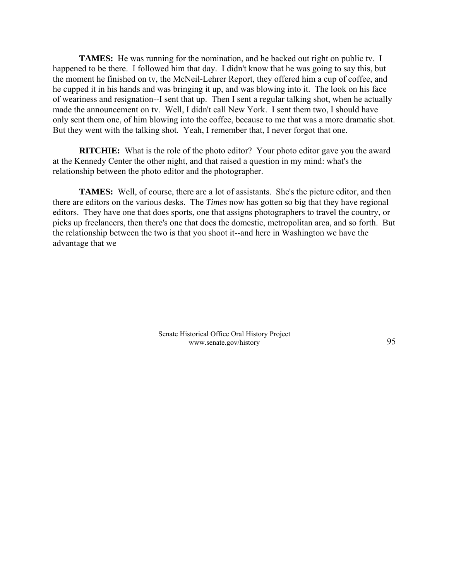**TAMES:** He was running for the nomination, and he backed out right on public tv. I happened to be there. I followed him that day. I didn't know that he was going to say this, but the moment he finished on tv, the McNeil-Lehrer Report, they offered him a cup of coffee, and he cupped it in his hands and was bringing it up, and was blowing into it. The look on his face of weariness and resignation--I sent that up. Then I sent a regular talking shot, when he actually made the announcement on tv. Well, I didn't call New York. I sent them two, I should have only sent them one, of him blowing into the coffee, because to me that was a more dramatic shot. But they went with the talking shot. Yeah, I remember that, I never forgot that one.

**RITCHIE:** What is the role of the photo editor? Your photo editor gave you the award at the Kennedy Center the other night, and that raised a question in my mind: what's the relationship between the photo editor and the photographer.

**TAMES:** Well, of course, there are a lot of assistants. She's the picture editor, and then there are editors on the various desks. The *Times* now has gotten so big that they have regional editors. They have one that does sports, one that assigns photographers to travel the country, or picks up freelancers, then there's one that does the domestic, metropolitan area, and so forth. But the relationship between the two is that you shoot it--and here in Washington we have the advantage that we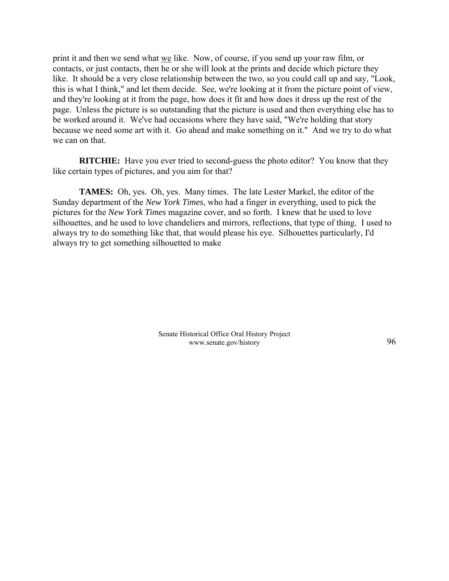print it and then we send what we like. Now, of course, if you send up your raw film, or contacts, or just contacts, then he or she will look at the prints and decide which picture they like. It should be a very close relationship between the two, so you could call up and say, "Look, this is what I think," and let them decide. See, we're looking at it from the picture point of view, and they're looking at it from the page, how does it fit and how does it dress up the rest of the page. Unless the picture is so outstanding that the picture is used and then everything else has to be worked around it. We've had occasions where they have said, "We're holding that story because we need some art with it. Go ahead and make something on it." And we try to do what we can on that.

**RITCHIE:** Have you ever tried to second-guess the photo editor? You know that they like certain types of pictures, and you aim for that?

**TAMES:** Oh, yes. Oh, yes. Many times. The late Lester Markel, the editor of the Sunday department of the *New York Times*, who had a finger in everything, used to pick the pictures for the *New York Times* magazine cover, and so forth. I knew that he used to love silhouettes, and he used to love chandeliers and mirrors, reflections, that type of thing. I used to always try to do something like that, that would please his eye. Silhouettes particularly, I'd always try to get something silhouetted to make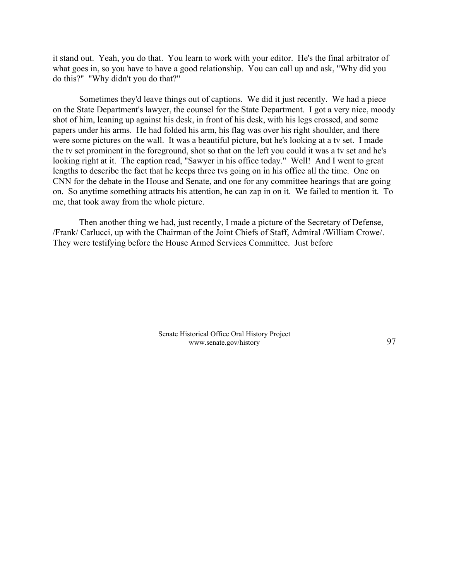it stand out. Yeah, you do that. You learn to work with your editor. He's the final arbitrator of what goes in, so you have to have a good relationship. You can call up and ask, "Why did you do this?" "Why didn't you do that?"

Sometimes they'd leave things out of captions. We did it just recently. We had a piece on the State Department's lawyer, the counsel for the State Department. I got a very nice, moody shot of him, leaning up against his desk, in front of his desk, with his legs crossed, and some papers under his arms. He had folded his arm, his flag was over his right shoulder, and there were some pictures on the wall. It was a beautiful picture, but he's looking at a tv set. I made the tv set prominent in the foreground, shot so that on the left you could it was a tv set and he's looking right at it. The caption read, "Sawyer in his office today." Well! And I went to great lengths to describe the fact that he keeps three tvs going on in his office all the time. One on CNN for the debate in the House and Senate, and one for any committee hearings that are going on. So anytime something attracts his attention, he can zap in on it. We failed to mention it. To me, that took away from the whole picture.

Then another thing we had, just recently, I made a picture of the Secretary of Defense, /Frank/ Carlucci, up with the Chairman of the Joint Chiefs of Staff, Admiral /William Crowe/. They were testifying before the House Armed Services Committee. Just before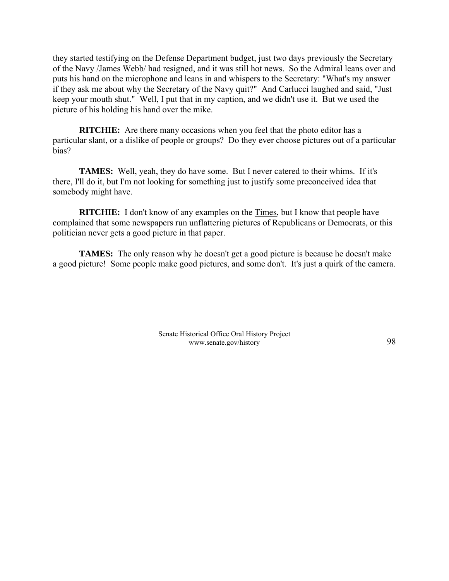they started testifying on the Defense Department budget, just two days previously the Secretary of the Navy /James Webb/ had resigned, and it was still hot news. So the Admiral leans over and puts his hand on the microphone and leans in and whispers to the Secretary: "What's my answer if they ask me about why the Secretary of the Navy quit?" And Carlucci laughed and said, "Just keep your mouth shut." Well, I put that in my caption, and we didn't use it. But we used the picture of his holding his hand over the mike.

**RITCHIE:** Are there many occasions when you feel that the photo editor has a particular slant, or a dislike of people or groups? Do they ever choose pictures out of a particular bias?

**TAMES:** Well, yeah, they do have some. But I never catered to their whims. If it's there, I'll do it, but I'm not looking for something just to justify some preconceived idea that somebody might have.

**RITCHIE:** I don't know of any examples on the Times, but I know that people have complained that some newspapers run unflattering pictures of Republicans or Democrats, or this politician never gets a good picture in that paper.

**TAMES:** The only reason why he doesn't get a good picture is because he doesn't make a good picture! Some people make good pictures, and some don't. It's just a quirk of the camera.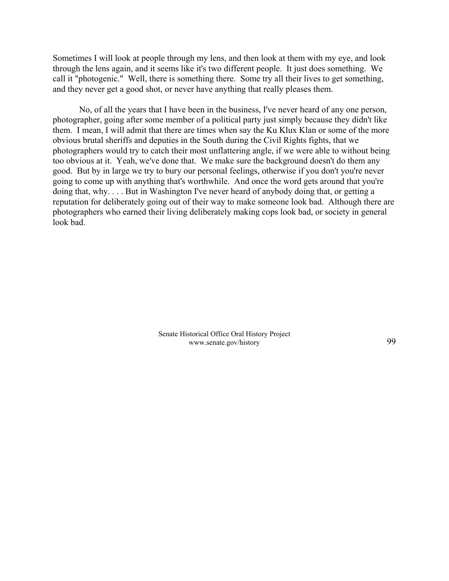Sometimes I will look at people through my lens, and then look at them with my eye, and look through the lens again, and it seems like it's two different people. It just does something. We call it "photogenic." Well, there is something there. Some try all their lives to get something, and they never get a good shot, or never have anything that really pleases them.

No, of all the years that I have been in the business, I've never heard of any one person, photographer, going after some member of a political party just simply because they didn't like them. I mean, I will admit that there are times when say the Ku Klux Klan or some of the more obvious brutal sheriffs and deputies in the South during the Civil Rights fights, that we photographers would try to catch their most unflattering angle, if we were able to without being too obvious at it. Yeah, we've done that. We make sure the background doesn't do them any good. But by in large we try to bury our personal feelings, otherwise if you don't you're never going to come up with anything that's worthwhile. And once the word gets around that you're doing that, why. . . . But in Washington I've never heard of anybody doing that, or getting a reputation for deliberately going out of their way to make someone look bad. Although there are photographers who earned their living deliberately making cops look bad, or society in general look bad.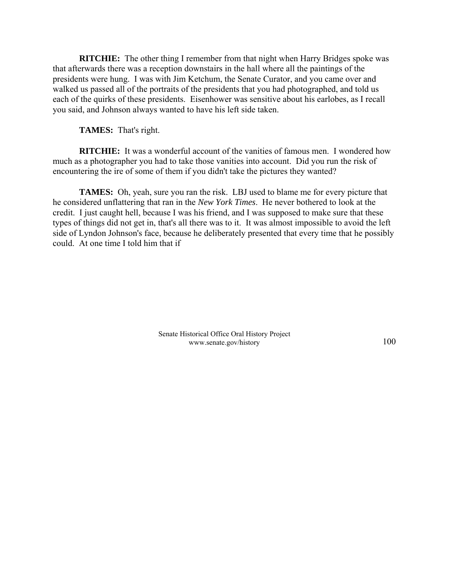**RITCHIE:** The other thing I remember from that night when Harry Bridges spoke was that afterwards there was a reception downstairs in the hall where all the paintings of the presidents were hung. I was with Jim Ketchum, the Senate Curator, and you came over and walked us passed all of the portraits of the presidents that you had photographed, and told us each of the quirks of these presidents. Eisenhower was sensitive about his earlobes, as I recall you said, and Johnson always wanted to have his left side taken.

**TAMES:** That's right.

**RITCHIE:** It was a wonderful account of the vanities of famous men. I wondered how much as a photographer you had to take those vanities into account. Did you run the risk of encountering the ire of some of them if you didn't take the pictures they wanted?

**TAMES:** Oh, yeah, sure you ran the risk. LBJ used to blame me for every picture that he considered unflattering that ran in the *New York Times*. He never bothered to look at the credit. I just caught hell, because I was his friend, and I was supposed to make sure that these types of things did not get in, that's all there was to it. It was almost impossible to avoid the left side of Lyndon Johnson's face, because he deliberately presented that every time that he possibly could. At one time I told him that if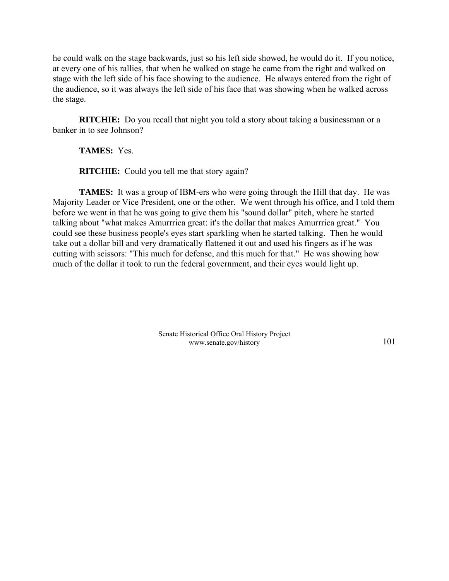he could walk on the stage backwards, just so his left side showed, he would do it. If you notice, at every one of his rallies, that when he walked on stage he came from the right and walked on stage with the left side of his face showing to the audience. He always entered from the right of the audience, so it was always the left side of his face that was showing when he walked across the stage.

**RITCHIE:** Do you recall that night you told a story about taking a businessman or a banker in to see Johnson?

**TAMES:** Yes.

**RITCHIE:** Could you tell me that story again?

**TAMES:** It was a group of IBM-ers who were going through the Hill that day. He was Majority Leader or Vice President, one or the other. We went through his office, and I told them before we went in that he was going to give them his "sound dollar" pitch, where he started talking about "what makes Amurrrica great: it's the dollar that makes Amurrrica great." You could see these business people's eyes start sparkling when he started talking. Then he would take out a dollar bill and very dramatically flattened it out and used his fingers as if he was cutting with scissors: "This much for defense, and this much for that." He was showing how much of the dollar it took to run the federal government, and their eyes would light up.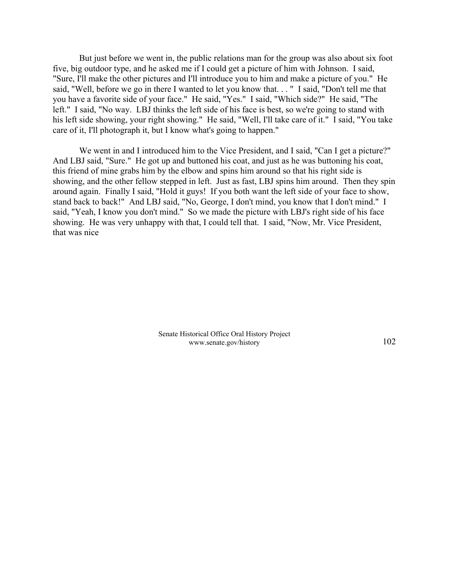But just before we went in, the public relations man for the group was also about six foot five, big outdoor type, and he asked me if I could get a picture of him with Johnson. I said, "Sure, I'll make the other pictures and I'll introduce you to him and make a picture of you." He said, "Well, before we go in there I wanted to let you know that. . . " I said, "Don't tell me that you have a favorite side of your face." He said, "Yes." I said, "Which side?" He said, "The left." I said, "No way. LBJ thinks the left side of his face is best, so we're going to stand with his left side showing, your right showing." He said, "Well, I'll take care of it." I said, "You take care of it, I'll photograph it, but I know what's going to happen."

We went in and I introduced him to the Vice President, and I said, "Can I get a picture?" And LBJ said, "Sure." He got up and buttoned his coat, and just as he was buttoning his coat, this friend of mine grabs him by the elbow and spins him around so that his right side is showing, and the other fellow stepped in left. Just as fast, LBJ spins him around. Then they spin around again. Finally I said, "Hold it guys! If you both want the left side of your face to show, stand back to back!" And LBJ said, "No, George, I don't mind, you know that I don't mind." I said, "Yeah, I know you don't mind." So we made the picture with LBJ's right side of his face showing. He was very unhappy with that, I could tell that. I said, "Now, Mr. Vice President, that was nice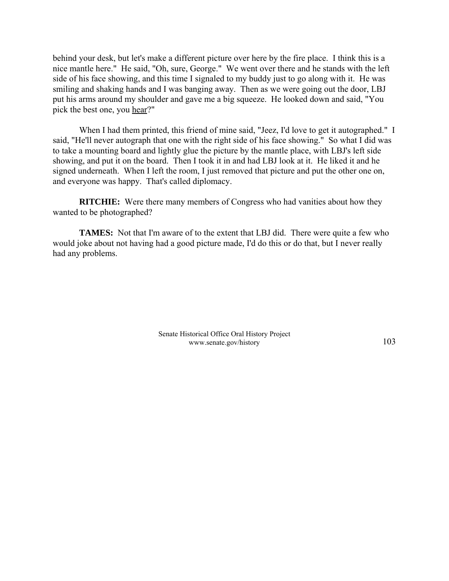behind your desk, but let's make a different picture over here by the fire place. I think this is a nice mantle here." He said, "Oh, sure, George." We went over there and he stands with the left side of his face showing, and this time I signaled to my buddy just to go along with it. He was smiling and shaking hands and I was banging away. Then as we were going out the door, LBJ put his arms around my shoulder and gave me a big squeeze. He looked down and said, "You pick the best one, you hear?"

When I had them printed, this friend of mine said, "Jeez, I'd love to get it autographed." I said, "He'll never autograph that one with the right side of his face showing." So what I did was to take a mounting board and lightly glue the picture by the mantle place, with LBJ's left side showing, and put it on the board. Then I took it in and had LBJ look at it. He liked it and he signed underneath. When I left the room, I just removed that picture and put the other one on, and everyone was happy. That's called diplomacy.

**RITCHIE:** Were there many members of Congress who had vanities about how they wanted to be photographed?

**TAMES:** Not that I'm aware of to the extent that LBJ did. There were quite a few who would joke about not having had a good picture made, I'd do this or do that, but I never really had any problems.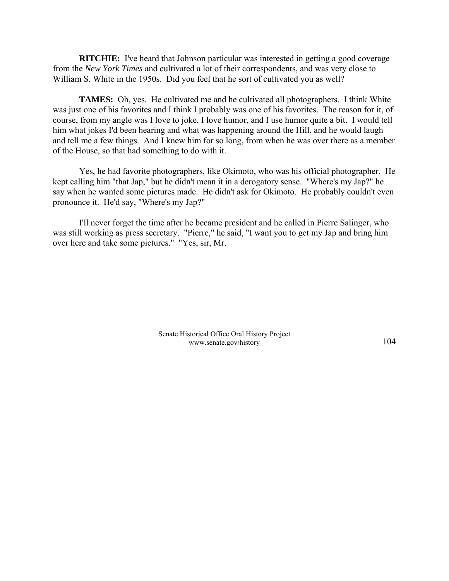**RITCHIE:** I've heard that Johnson particular was interested in getting a good coverage from the *New York Times* and cultivated a lot of their correspondents, and was very close to William S. White in the 1950s. Did you feel that he sort of cultivated you as well?

**TAMES:** Oh, yes. He cultivated me and he cultivated all photographers. I think White was just one of his favorites and I think I probably was one of his favorites. The reason for it, of course, from my angle was I love to joke, I love humor, and I use humor quite a bit. I would tell him what jokes I'd been hearing and what was happening around the Hill, and he would laugh and tell me a few things. And I knew him for so long, from when he was over there as a member of the House, so that had something to do with it.

Yes, he had favorite photographers, like Okimoto, who was his official photographer. He kept calling him "that Jap," but he didn't mean it in a derogatory sense. "Where's my Jap?" he say when he wanted some pictures made. He didn't ask for Okimoto. He probably couldn't even pronounce it. He'd say, "Where's my Jap?"

I'll never forget the time after he became president and he called in Pierre Salinger, who was still working as press secretary. "Pierre," he said, "I want you to get my Jap and bring him over here and take some pictures." "Yes, sir, Mr.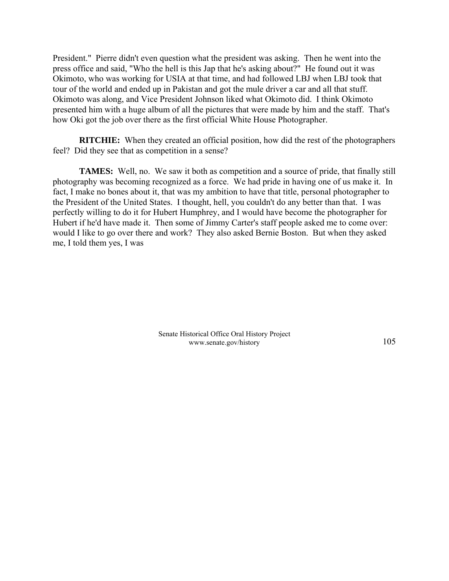President." Pierre didn't even question what the president was asking. Then he went into the press office and said, "Who the hell is this Jap that he's asking about?" He found out it was Okimoto, who was working for USIA at that time, and had followed LBJ when LBJ took that tour of the world and ended up in Pakistan and got the mule driver a car and all that stuff. Okimoto was along, and Vice President Johnson liked what Okimoto did. I think Okimoto presented him with a huge album of all the pictures that were made by him and the staff. That's how Oki got the job over there as the first official White House Photographer.

**RITCHIE:** When they created an official position, how did the rest of the photographers feel? Did they see that as competition in a sense?

**TAMES:** Well, no. We saw it both as competition and a source of pride, that finally still photography was becoming recognized as a force. We had pride in having one of us make it. In fact, I make no bones about it, that was my ambition to have that title, personal photographer to the President of the United States. I thought, hell, you couldn't do any better than that. I was perfectly willing to do it for Hubert Humphrey, and I would have become the photographer for Hubert if he'd have made it. Then some of Jimmy Carter's staff people asked me to come over: would I like to go over there and work? They also asked Bernie Boston. But when they asked me, I told them yes, I was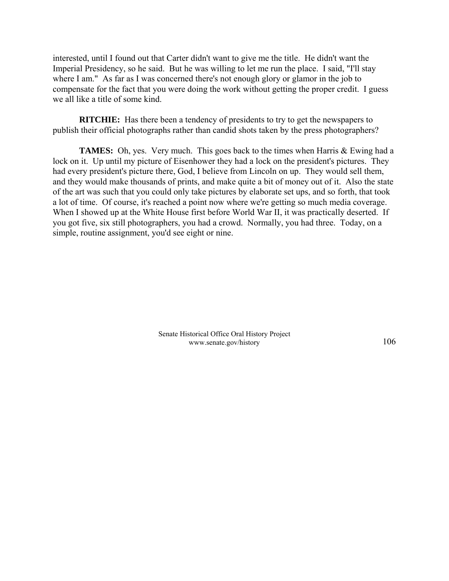interested, until I found out that Carter didn't want to give me the title. He didn't want the Imperial Presidency, so he said. But he was willing to let me run the place. I said, "I'll stay where I am." As far as I was concerned there's not enough glory or glamor in the job to compensate for the fact that you were doing the work without getting the proper credit. I guess we all like a title of some kind.

**RITCHIE:** Has there been a tendency of presidents to try to get the newspapers to publish their official photographs rather than candid shots taken by the press photographers?

**TAMES:** Oh, yes. Very much. This goes back to the times when Harris & Ewing had a lock on it. Up until my picture of Eisenhower they had a lock on the president's pictures. They had every president's picture there, God, I believe from Lincoln on up. They would sell them, and they would make thousands of prints, and make quite a bit of money out of it. Also the state of the art was such that you could only take pictures by elaborate set ups, and so forth, that took a lot of time. Of course, it's reached a point now where we're getting so much media coverage. When I showed up at the White House first before World War II, it was practically deserted. If you got five, six still photographers, you had a crowd. Normally, you had three. Today, on a simple, routine assignment, you'd see eight or nine.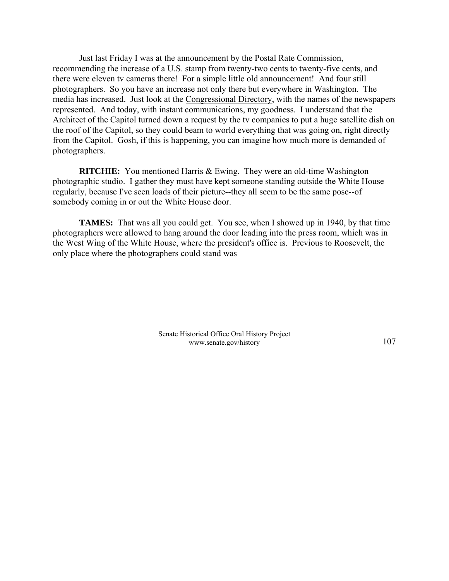Just last Friday I was at the announcement by the Postal Rate Commission, recommending the increase of a U.S. stamp from twenty-two cents to twenty-five cents, and there were eleven tv cameras there! For a simple little old announcement! And four still photographers. So you have an increase not only there but everywhere in Washington. The media has increased. Just look at the Congressional Directory, with the names of the newspapers represented. And today, with instant communications, my goodness. I understand that the Architect of the Capitol turned down a request by the tv companies to put a huge satellite dish on the roof of the Capitol, so they could beam to world everything that was going on, right directly from the Capitol. Gosh, if this is happening, you can imagine how much more is demanded of photographers.

**RITCHIE:** You mentioned Harris & Ewing. They were an old-time Washington photographic studio. I gather they must have kept someone standing outside the White House regularly, because I've seen loads of their picture--they all seem to be the same pose--of somebody coming in or out the White House door.

**TAMES:** That was all you could get. You see, when I showed up in 1940, by that time photographers were allowed to hang around the door leading into the press room, which was in the West Wing of the White House, where the president's office is. Previous to Roosevelt, the only place where the photographers could stand was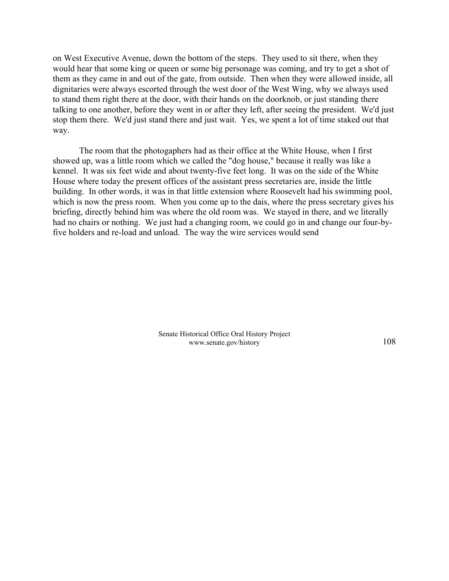on West Executive Avenue, down the bottom of the steps. They used to sit there, when they would hear that some king or queen or some big personage was coming, and try to get a shot of them as they came in and out of the gate, from outside. Then when they were allowed inside, all dignitaries were always escorted through the west door of the West Wing, why we always used to stand them right there at the door, with their hands on the doorknob, or just standing there talking to one another, before they went in or after they left, after seeing the president. We'd just stop them there. We'd just stand there and just wait. Yes, we spent a lot of time staked out that way.

The room that the photogaphers had as their office at the White House, when I first showed up, was a little room which we called the "dog house," because it really was like a kennel. It was six feet wide and about twenty-five feet long. It was on the side of the White House where today the present offices of the assistant press secretaries are, inside the little building. In other words, it was in that little extension where Roosevelt had his swimming pool, which is now the press room. When you come up to the dais, where the press secretary gives his briefing, directly behind him was where the old room was. We stayed in there, and we literally had no chairs or nothing. We just had a changing room, we could go in and change our four-byfive holders and re-load and unload. The way the wire services would send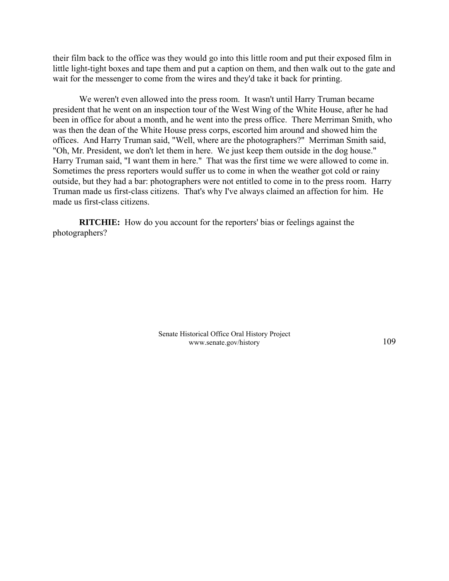their film back to the office was they would go into this little room and put their exposed film in little light-tight boxes and tape them and put a caption on them, and then walk out to the gate and wait for the messenger to come from the wires and they'd take it back for printing.

We weren't even allowed into the press room. It wasn't until Harry Truman became president that he went on an inspection tour of the West Wing of the White House, after he had been in office for about a month, and he went into the press office. There Merriman Smith, who was then the dean of the White House press corps, escorted him around and showed him the offices. And Harry Truman said, "Well, where are the photographers?" Merriman Smith said, "Oh, Mr. President, we don't let them in here. We just keep them outside in the dog house." Harry Truman said, "I want them in here." That was the first time we were allowed to come in. Sometimes the press reporters would suffer us to come in when the weather got cold or rainy outside, but they had a bar: photographers were not entitled to come in to the press room. Harry Truman made us first-class citizens. That's why I've always claimed an affection for him. He made us first-class citizens.

**RITCHIE:** How do you account for the reporters' bias or feelings against the photographers?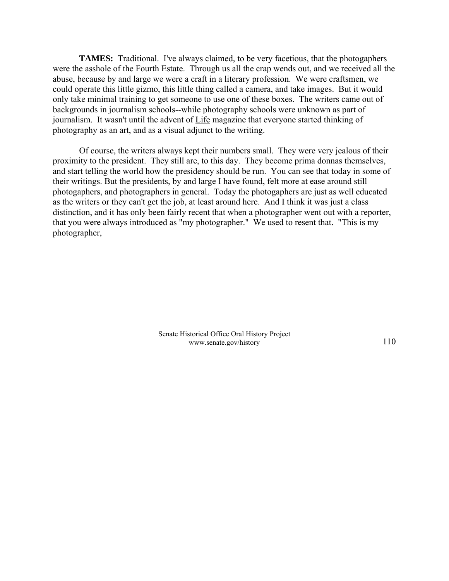**TAMES:** Traditional. I've always claimed, to be very facetious, that the photogaphers were the asshole of the Fourth Estate. Through us all the crap wends out, and we received all the abuse, because by and large we were a craft in a literary profession. We were craftsmen, we could operate this little gizmo, this little thing called a camera, and take images. But it would only take minimal training to get someone to use one of these boxes. The writers came out of backgrounds in journalism schools--while photography schools were unknown as part of journalism. It wasn't until the advent of Life magazine that everyone started thinking of photography as an art, and as a visual adjunct to the writing.

Of course, the writers always kept their numbers small. They were very jealous of their proximity to the president. They still are, to this day. They become prima donnas themselves, and start telling the world how the presidency should be run. You can see that today in some of their writings. But the presidents, by and large I have found, felt more at ease around still photogaphers, and photographers in general. Today the photogaphers are just as well educated as the writers or they can't get the job, at least around here. And I think it was just a class distinction, and it has only been fairly recent that when a photographer went out with a reporter, that you were always introduced as "my photographer." We used to resent that. "This is my photographer,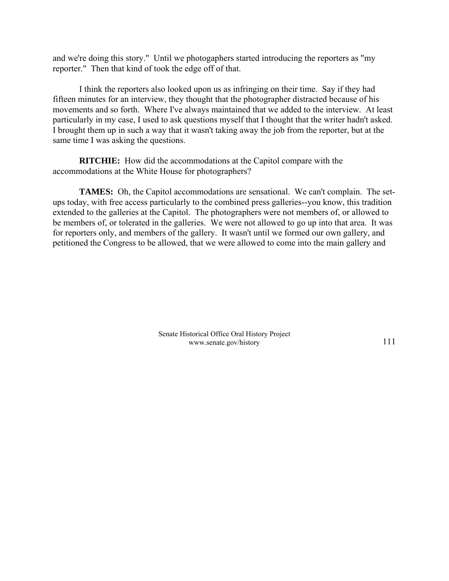and we're doing this story." Until we photogaphers started introducing the reporters as "my reporter." Then that kind of took the edge off of that.

I think the reporters also looked upon us as infringing on their time. Say if they had fifteen minutes for an interview, they thought that the photographer distracted because of his movements and so forth. Where I've always maintained that we added to the interview. At least particularly in my case, I used to ask questions myself that I thought that the writer hadn't asked. I brought them up in such a way that it wasn't taking away the job from the reporter, but at the same time I was asking the questions.

**RITCHIE:** How did the accommodations at the Capitol compare with the accommodations at the White House for photographers?

**TAMES:** Oh, the Capitol accommodations are sensational. We can't complain. The setups today, with free access particularly to the combined press galleries--you know, this tradition extended to the galleries at the Capitol. The photographers were not members of, or allowed to be members of, or tolerated in the galleries. We were not allowed to go up into that area. It was for reporters only, and members of the gallery. It wasn't until we formed our own gallery, and petitioned the Congress to be allowed, that we were allowed to come into the main gallery and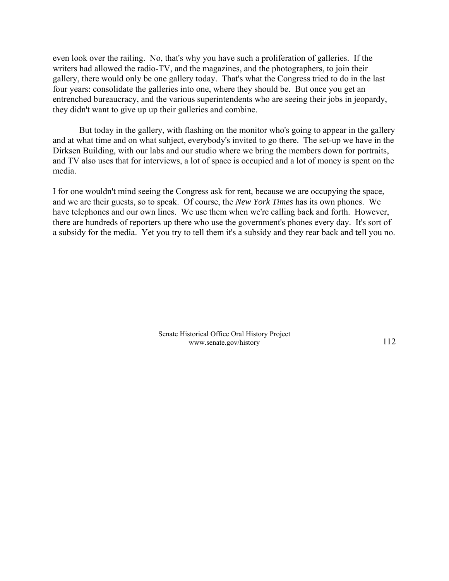even look over the railing. No, that's why you have such a proliferation of galleries. If the writers had allowed the radio-TV, and the magazines, and the photographers, to join their gallery, there would only be one gallery today. That's what the Congress tried to do in the last four years: consolidate the galleries into one, where they should be. But once you get an entrenched bureaucracy, and the various superintendents who are seeing their jobs in jeopardy, they didn't want to give up up their galleries and combine.

But today in the gallery, with flashing on the monitor who's going to appear in the gallery and at what time and on what suhject, everybody's invited to go there. The set-up we have in the Dirksen Building, with our labs and our studio where we bring the members down for portraits, and TV also uses that for interviews, a lot of space is occupied and a lot of money is spent on the media.

I for one wouldn't mind seeing the Congress ask for rent, because we are occupying the space, and we are their guests, so to speak. Of course, the *New York Times* has its own phones. We have telephones and our own lines. We use them when we're calling back and forth. However, there are hundreds of reporters up there who use the government's phones every day. It's sort of a subsidy for the media. Yet you try to tell them it's a subsidy and they rear back and tell you no.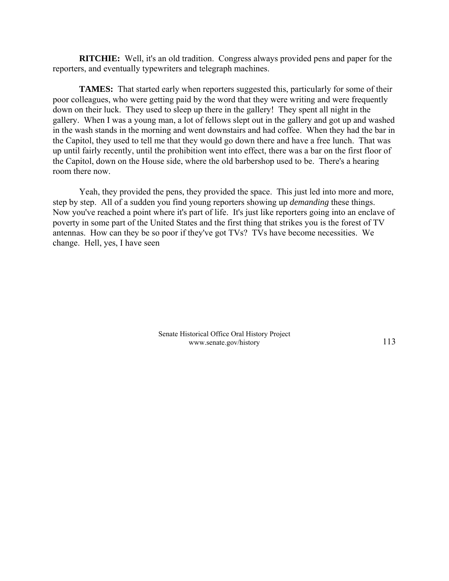**RITCHIE:** Well, it's an old tradition. Congress always provided pens and paper for the reporters, and eventually typewriters and telegraph machines.

**TAMES:** That started early when reporters suggested this, particularly for some of their poor colleagues, who were getting paid by the word that they were writing and were frequently down on their luck. They used to sleep up there in the gallery! They spent all night in the gallery. When I was a young man, a lot of fellows slept out in the gallery and got up and washed in the wash stands in the morning and went downstairs and had coffee. When they had the bar in the Capitol, they used to tell me that they would go down there and have a free lunch. That was up until fairly recently, until the prohibition went into effect, there was a bar on the first floor of the Capitol, down on the House side, where the old barbershop used to be. There's a hearing room there now.

Yeah, they provided the pens, they provided the space. This just led into more and more, step by step. All of a sudden you find young reporters showing up *demanding* these things. Now you've reached a point where it's part of life. It's just like reporters going into an enclave of poverty in some part of the United States and the first thing that strikes you is the forest of TV antennas. How can they be so poor if they've got TVs? TVs have become necessities. We change. Hell, yes, I have seen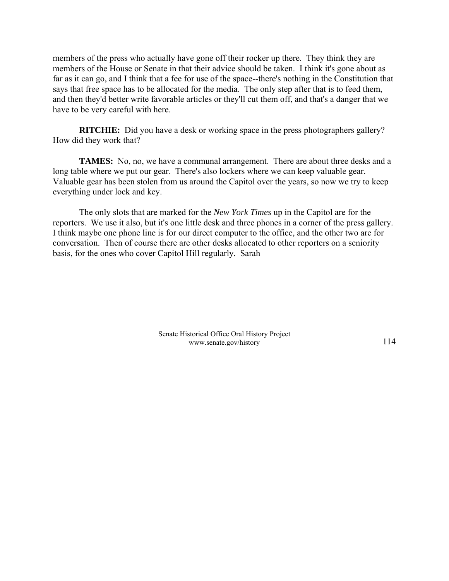members of the press who actually have gone off their rocker up there. They think they are members of the House or Senate in that their advice should be taken. I think it's gone about as far as it can go, and I think that a fee for use of the space--there's nothing in the Constitution that says that free space has to be allocated for the media. The only step after that is to feed them, and then they'd better write favorable articles or they'll cut them off, and that's a danger that we have to be very careful with here.

**RITCHIE:** Did you have a desk or working space in the press photographers gallery? How did they work that?

**TAMES:** No, no, we have a communal arrangement. There are about three desks and a long table where we put our gear. There's also lockers where we can keep valuable gear. Valuable gear has been stolen from us around the Capitol over the years, so now we try to keep everything under lock and key.

The only slots that are marked for the *New York Times* up in the Capitol are for the reporters. We use it also, but it's one little desk and three phones in a corner of the press gallery. I think maybe one phone line is for our direct computer to the office, and the other two are for conversation. Then of course there are other desks allocated to other reporters on a seniority basis, for the ones who cover Capitol Hill regularly. Sarah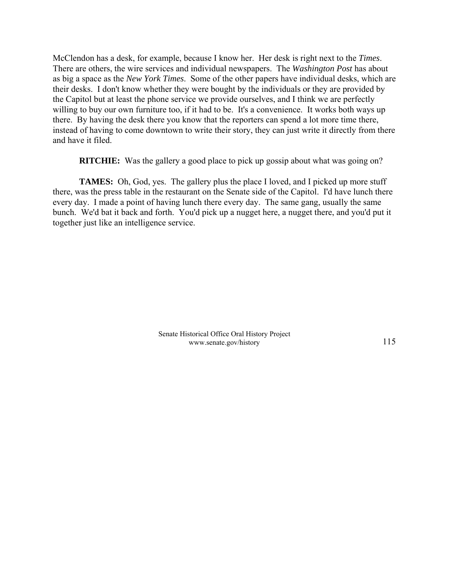McClendon has a desk, for example, because I know her. Her desk is right next to the *Times*. There are others, the wire services and individual newspapers. The *Washington Post* has about as big a space as the *New York Times*. Some of the other papers have individual desks, which are their desks. I don't know whether they were bought by the individuals or they are provided by the Capitol but at least the phone service we provide ourselves, and I think we are perfectly willing to buy our own furniture too, if it had to be. It's a convenience. It works both ways up there. By having the desk there you know that the reporters can spend a lot more time there, instead of having to come downtown to write their story, they can just write it directly from there and have it filed.

**RITCHIE:** Was the gallery a good place to pick up gossip about what was going on?

**TAMES:** Oh, God, yes. The gallery plus the place I loved, and I picked up more stuff there, was the press table in the restaurant on the Senate side of the Capitol. I'd have lunch there every day. I made a point of having lunch there every day. The same gang, usually the same bunch. We'd bat it back and forth. You'd pick up a nugget here, a nugget there, and you'd put it together just like an intelligence service.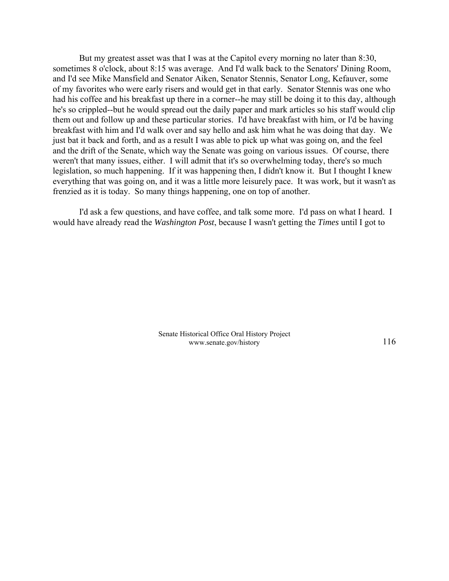But my greatest asset was that I was at the Capitol every morning no later than 8:30, sometimes 8 o'clock, about 8:15 was average. And I'd walk back to the Senators' Dining Room, and I'd see Mike Mansfield and Senator Aiken, Senator Stennis, Senator Long, Kefauver, some of my favorites who were early risers and would get in that early. Senator Stennis was one who had his coffee and his breakfast up there in a corner--he may still be doing it to this day, although he's so crippled--but he would spread out the daily paper and mark articles so his staff would clip them out and follow up and these particular stories. I'd have breakfast with him, or I'd be having breakfast with him and I'd walk over and say hello and ask him what he was doing that day. We just bat it back and forth, and as a result I was able to pick up what was going on, and the feel and the drift of the Senate, which way the Senate was going on various issues. Of course, there weren't that many issues, either. I will admit that it's so overwhelming today, there's so much legislation, so much happening. If it was happening then, I didn't know it. But I thought I knew everything that was going on, and it was a little more leisurely pace. It was work, but it wasn't as frenzied as it is today. So many things happening, one on top of another.

I'd ask a few questions, and have coffee, and talk some more. I'd pass on what I heard. I would have already read the *Washington Post*, because I wasn't getting the *Times* until I got to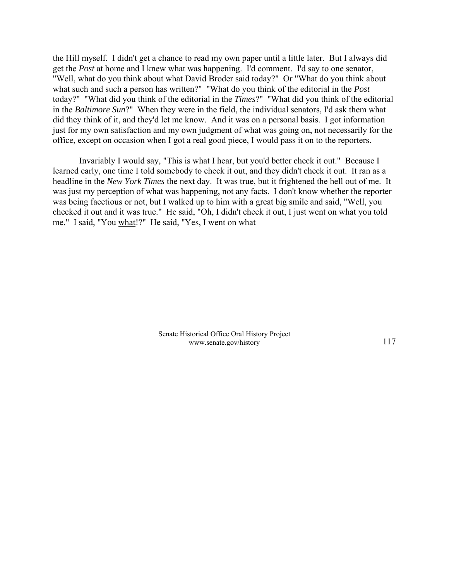the Hill myself. I didn't get a chance to read my own paper until a little later. But I always did get the *Post* at home and I knew what was happening. I'd comment. I'd say to one senator, "Well, what do you think about what David Broder said today?" Or "What do you think about what such and such a person has written?" "What do you think of the editorial in the *Post* today?" "What did you think of the editorial in the *Times*?" "What did you think of the editorial in the *Baltimore Sun*?" When they were in the field, the individual senators, I'd ask them what did they think of it, and they'd let me know. And it was on a personal basis. I got information just for my own satisfaction and my own judgment of what was going on, not necessarily for the office, except on occasion when I got a real good piece, I would pass it on to the reporters.

Invariably I would say, "This is what I hear, but you'd better check it out." Because I learned early, one time I told somebody to check it out, and they didn't check it out. It ran as a headline in the *New York Times* the next day. It was true, but it frightened the hell out of me. It was just my perception of what was happening, not any facts. I don't know whether the reporter was being facetious or not, but I walked up to him with a great big smile and said, "Well, you checked it out and it was true." He said, "Oh, I didn't check it out, I just went on what you told me." I said, "You what!?" He said, "Yes, I went on what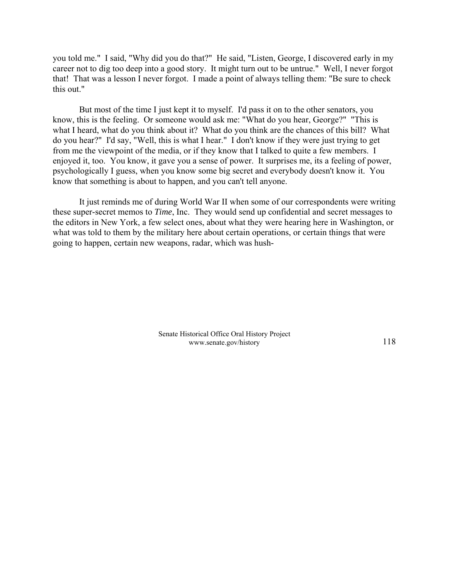you told me." I said, "Why did you do that?" He said, "Listen, George, I discovered early in my career not to dig too deep into a good story. It might turn out to be untrue." Well, I never forgot that! That was a lesson I never forgot. I made a point of always telling them: "Be sure to check this out."

But most of the time I just kept it to myself. I'd pass it on to the other senators, you know, this is the feeling. Or someone would ask me: "What do you hear, George?" "This is what I heard, what do you think about it? What do you think are the chances of this bill? What do you hear?" I'd say, "Well, this is what I hear." I don't know if they were just trying to get from me the viewpoint of the media, or if they know that I talked to quite a few members. I enjoyed it, too. You know, it gave you a sense of power. It surprises me, its a feeling of power, psychologically I guess, when you know some big secret and everybody doesn't know it. You know that something is about to happen, and you can't tell anyone.

It just reminds me of during World War II when some of our correspondents were writing these super-secret memos to *Time*, Inc. They would send up confidential and secret messages to the editors in New York, a few select ones, about what they were hearing here in Washington, or what was told to them by the military here about certain operations, or certain things that were going to happen, certain new weapons, radar, which was hush-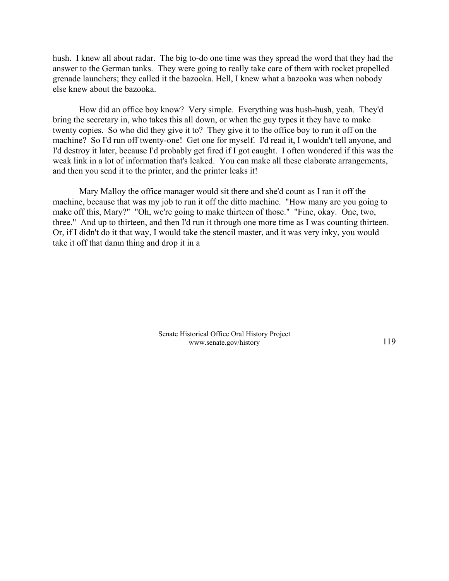hush. I knew all about radar. The big to-do one time was they spread the word that they had the answer to the German tanks. They were going to really take care of them with rocket propelled grenade launchers; they called it the bazooka. Hell, I knew what a bazooka was when nobody else knew about the bazooka.

How did an office boy know? Very simple. Everything was hush-hush, yeah. They'd bring the secretary in, who takes this all down, or when the guy types it they have to make twenty copies. So who did they give it to? They give it to the office boy to run it off on the machine? So I'd run off twenty-one! Get one for myself. I'd read it, I wouldn't tell anyone, and I'd destroy it later, because I'd probably get fired if I got caught. I often wondered if this was the weak link in a lot of information that's leaked. You can make all these elaborate arrangements, and then you send it to the printer, and the printer leaks it!

Mary Malloy the office manager would sit there and she'd count as I ran it off the machine, because that was my job to run it off the ditto machine. "How many are you going to make off this, Mary?" "Oh, we're going to make thirteen of those." "Fine, okay. One, two, three." And up to thirteen, and then I'd run it through one more time as I was counting thirteen. Or, if I didn't do it that way, I would take the stencil master, and it was very inky, you would take it off that damn thing and drop it in a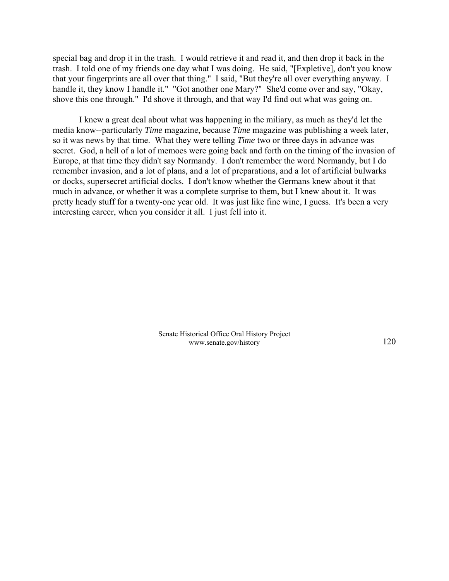special bag and drop it in the trash. I would retrieve it and read it, and then drop it back in the trash. I told one of my friends one day what I was doing. He said, "[Expletive], don't you know that your fingerprints are all over that thing." I said, "But they're all over everything anyway. I handle it, they know I handle it." "Got another one Mary?" She'd come over and say, "Okay, shove this one through." I'd shove it through, and that way I'd find out what was going on.

I knew a great deal about what was happening in the miliary, as much as they'd let the media know--particularly *Time* magazine, because *Time* magazine was publishing a week later, so it was news by that time. What they were telling *Time* two or three days in advance was secret. God, a hell of a lot of memoes were going back and forth on the timing of the invasion of Europe, at that time they didn't say Normandy. I don't remember the word Normandy, but I do remember invasion, and a lot of plans, and a lot of preparations, and a lot of artificial bulwarks or docks, supersecret artificial docks. I don't know whether the Germans knew about it that much in advance, or whether it was a complete surprise to them, but I knew about it. It was pretty heady stuff for a twenty-one year old. It was just like fine wine, I guess. It's been a very interesting career, when you consider it all. I just fell into it.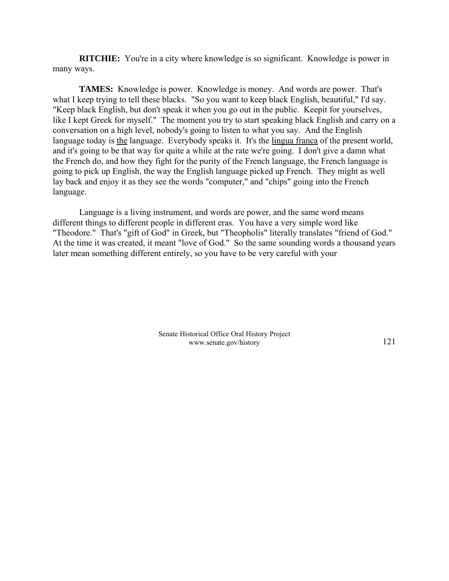**RITCHIE:** You're in a city where knowledge is so significant. Knowledge is power in many ways.

**TAMES:** Knowledge is power. Knowledge is money. And words are power. That's what I keep trying to tell these blacks. "So you want to keep black English, beautiful," I'd say. "Keep black English, but don't speak it when you go out in the public. Keepit for yourselves, like I kept Greek for myself." The moment you try to start speaking black English and carry on a conversation on a high level, nobody's going to listen to what you say. And the English language today is the language. Everybody speaks it. It's the lingua franca of the present world, and it's going to be that way for quite a while at the rate we're going. I don't give a damn what the French do, and how they fight for the purity of the French language, the French language is going to pick up English, the way the English language picked up French. They might as well lay back and enjoy it as they see the words "computer," and "chips" going into the French language.

Language is a living instrument, and words are power, and the same word means different things to different people in different eras. You have a very simple word like "Theodore." That's "gift of God" in Greek, but "Theopholis" literally translates "friend of God." At the time it was created, it meant "love of God." So the same sounding words a thousand years later mean something different entirely, so you have to be very careful with your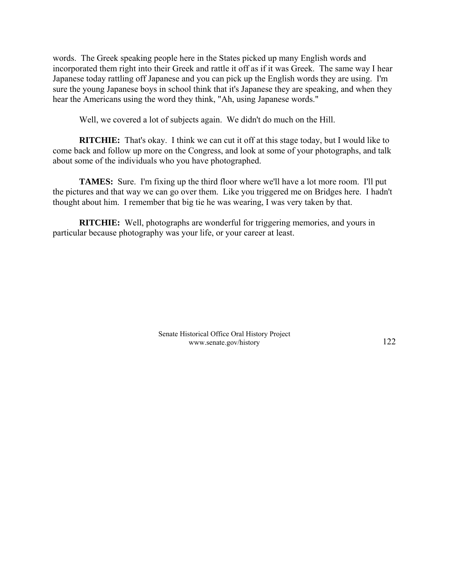words. The Greek speaking people here in the States picked up many English words and incorporated them right into their Greek and rattle it off as if it was Greek. The same way I hear Japanese today rattling off Japanese and you can pick up the English words they are using. I'm sure the young Japanese boys in school think that it's Japanese they are speaking, and when they hear the Americans using the word they think, "Ah, using Japanese words."

Well, we covered a lot of subjects again. We didn't do much on the Hill.

**RITCHIE:** That's okay. I think we can cut it off at this stage today, but I would like to come back and follow up more on the Congress, and look at some of your photographs, and talk about some of the individuals who you have photographed.

**TAMES:** Sure. I'm fixing up the third floor where we'll have a lot more room. I'll put the pictures and that way we can go over them. Like you triggered me on Bridges here. I hadn't thought about him. I remember that big tie he was wearing, I was very taken by that.

**RITCHIE:** Well, photographs are wonderful for triggering memories, and yours in particular because photography was your life, or your career at least.